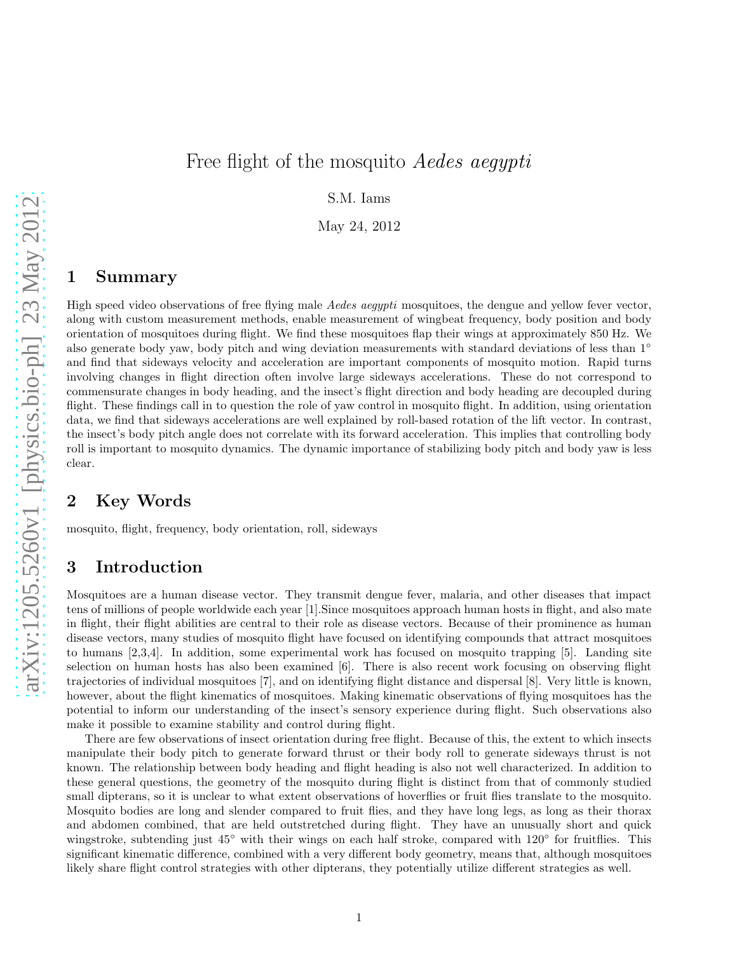# Free flight of the mosquito *Aedes aequpti*

S.M. Iams

May 24, 2012

## 1 Summary

High speed video observations of free flying male Aedes aegypti mosquitoes, the dengue and yellow fever vector, along with custom measurement methods, enable measurement of wingbeat frequency, body position and body orientation of mosquitoes during flight. We find these mosquitoes flap their wings at approximately 850 Hz. We also generate body yaw, body pitch and wing deviation measurements with standard deviations of less than 1◦ and find that sideways velocity and acceleration are important components of mosquito motion. Rapid turns involving changes in flight direction often involve large sideways accelerations. These do not correspond to commensurate changes in body heading, and the insect's flight direction and body heading are decoupled during flight. These findings call in to question the role of yaw control in mosquito flight. In addition, using orientation data, we find that sideways accelerations are well explained by roll-based rotation of the lift vector. In contrast, the insect's body pitch angle does not correlate with its forward acceleration. This implies that controlling body roll is important to mosquito dynamics. The dynamic importance of stabilizing body pitch and body yaw is less clear.

# 2 Key Words

mosquito, flight, frequency, body orientation, roll, sideways

# 3 Introduction

Mosquitoes are a human disease vector. They transmit dengue fever, malaria, and other diseases that impact tens of millions of people worldwide each year [1].Since mosquitoes approach human hosts in flight, and also mate in flight, their flight abilities are central to their role as disease vectors. Because of their prominence as human disease vectors, many studies of mosquito flight have focused on identifying compounds that attract mosquitoes to humans [2,3,4]. In addition, some experimental work has focused on mosquito trapping [5]. Landing site selection on human hosts has also been examined [6]. There is also recent work focusing on observing flight trajectories of individual mosquitoes [7], and on identifying flight distance and dispersal [8]. Very little is known, however, about the flight kinematics of mosquitoes. Making kinematic observations of flying mosquitoes has the potential to inform our understanding of the insect's sensory experience during flight. Such observations also make it possible to examine stability and control during flight.

There are few observations of insect orientation during free flight. Because of this, the extent to which insects manipulate their body pitch to generate forward thrust or their body roll to generate sideways thrust is not known. The relationship between body heading and flight heading is also not well characterized. In addition to these general questions, the geometry of the mosquito during flight is distinct from that of commonly studied small dipterans, so it is unclear to what extent observations of hoverflies or fruit flies translate to the mosquito. Mosquito bodies are long and slender compared to fruit flies, and they have long legs, as long as their thorax and abdomen combined, that are held outstretched during flight. They have an unusually short and quick wingstroke, subtending just 45° with their wings on each half stroke, compared with 120° for fruitflies. This significant kinematic difference, combined with a very different body geometry, means that, although mosquitoes likely share flight control strategies with other dipterans, they potentially utilize different strategies as well.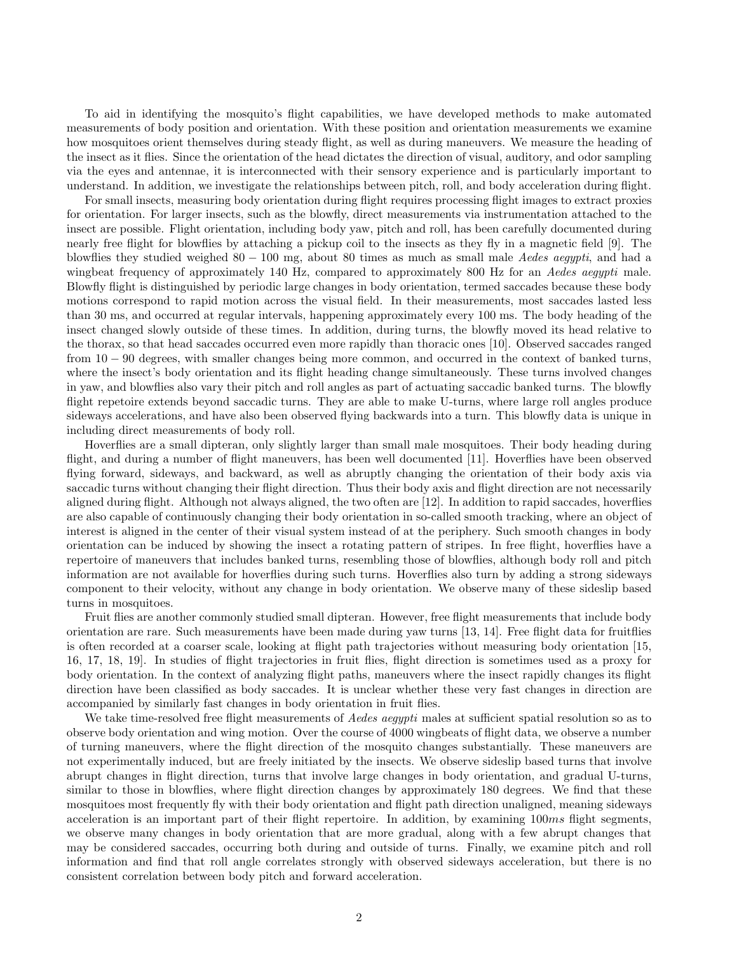To aid in identifying the mosquito's flight capabilities, we have developed methods to make automated measurements of body position and orientation. With these position and orientation measurements we examine how mosquitoes orient themselves during steady flight, as well as during maneuvers. We measure the heading of the insect as it flies. Since the orientation of the head dictates the direction of visual, auditory, and odor sampling via the eyes and antennae, it is interconnected with their sensory experience and is particularly important to understand. In addition, we investigate the relationships between pitch, roll, and body acceleration during flight.

For small insects, measuring body orientation during flight requires processing flight images to extract proxies for orientation. For larger insects, such as the blowfly, direct measurements via instrumentation attached to the insect are possible. Flight orientation, including body yaw, pitch and roll, has been carefully documented during nearly free flight for blowflies by attaching a pickup coil to the insects as they fly in a magnetic field [9]. The blowflies they studied weighed  $80 - 100$  mg, about 80 times as much as small male Aedes aegypti, and had a wingbeat frequency of approximately 140 Hz, compared to approximately 800 Hz for an Aedes aegypti male. Blowfly flight is distinguished by periodic large changes in body orientation, termed saccades because these body motions correspond to rapid motion across the visual field. In their measurements, most saccades lasted less than 30 ms, and occurred at regular intervals, happening approximately every 100 ms. The body heading of the insect changed slowly outside of these times. In addition, during turns, the blowfly moved its head relative to the thorax, so that head saccades occurred even more rapidly than thoracic ones [10]. Observed saccades ranged from 10 − 90 degrees, with smaller changes being more common, and occurred in the context of banked turns, where the insect's body orientation and its flight heading change simultaneously. These turns involved changes in yaw, and blowflies also vary their pitch and roll angles as part of actuating saccadic banked turns. The blowfly flight repetoire extends beyond saccadic turns. They are able to make U-turns, where large roll angles produce sideways accelerations, and have also been observed flying backwards into a turn. This blowfly data is unique in including direct measurements of body roll.

Hoverflies are a small dipteran, only slightly larger than small male mosquitoes. Their body heading during flight, and during a number of flight maneuvers, has been well documented [11]. Hoverflies have been observed flying forward, sideways, and backward, as well as abruptly changing the orientation of their body axis via saccadic turns without changing their flight direction. Thus their body axis and flight direction are not necessarily aligned during flight. Although not always aligned, the two often are [12]. In addition to rapid saccades, hoverflies are also capable of continuously changing their body orientation in so-called smooth tracking, where an object of interest is aligned in the center of their visual system instead of at the periphery. Such smooth changes in body orientation can be induced by showing the insect a rotating pattern of stripes. In free flight, hoverflies have a repertoire of maneuvers that includes banked turns, resembling those of blowflies, although body roll and pitch information are not available for hoverflies during such turns. Hoverflies also turn by adding a strong sideways component to their velocity, without any change in body orientation. We observe many of these sideslip based turns in mosquitoes.

Fruit flies are another commonly studied small dipteran. However, free flight measurements that include body orientation are rare. Such measurements have been made during yaw turns [13, 14]. Free flight data for fruitflies is often recorded at a coarser scale, looking at flight path trajectories without measuring body orientation [15, 16, 17, 18, 19]. In studies of flight trajectories in fruit flies, flight direction is sometimes used as a proxy for body orientation. In the context of analyzing flight paths, maneuvers where the insect rapidly changes its flight direction have been classified as body saccades. It is unclear whether these very fast changes in direction are accompanied by similarly fast changes in body orientation in fruit flies.

We take time-resolved free flight measurements of *Aedes aegypti* males at sufficient spatial resolution so as to observe body orientation and wing motion. Over the course of 4000 wingbeats of flight data, we observe a number of turning maneuvers, where the flight direction of the mosquito changes substantially. These maneuvers are not experimentally induced, but are freely initiated by the insects. We observe sideslip based turns that involve abrupt changes in flight direction, turns that involve large changes in body orientation, and gradual U-turns, similar to those in blowflies, where flight direction changes by approximately 180 degrees. We find that these mosquitoes most frequently fly with their body orientation and flight path direction unaligned, meaning sideways acceleration is an important part of their flight repertoire. In addition, by examining 100ms flight segments, we observe many changes in body orientation that are more gradual, along with a few abrupt changes that may be considered saccades, occurring both during and outside of turns. Finally, we examine pitch and roll information and find that roll angle correlates strongly with observed sideways acceleration, but there is no consistent correlation between body pitch and forward acceleration.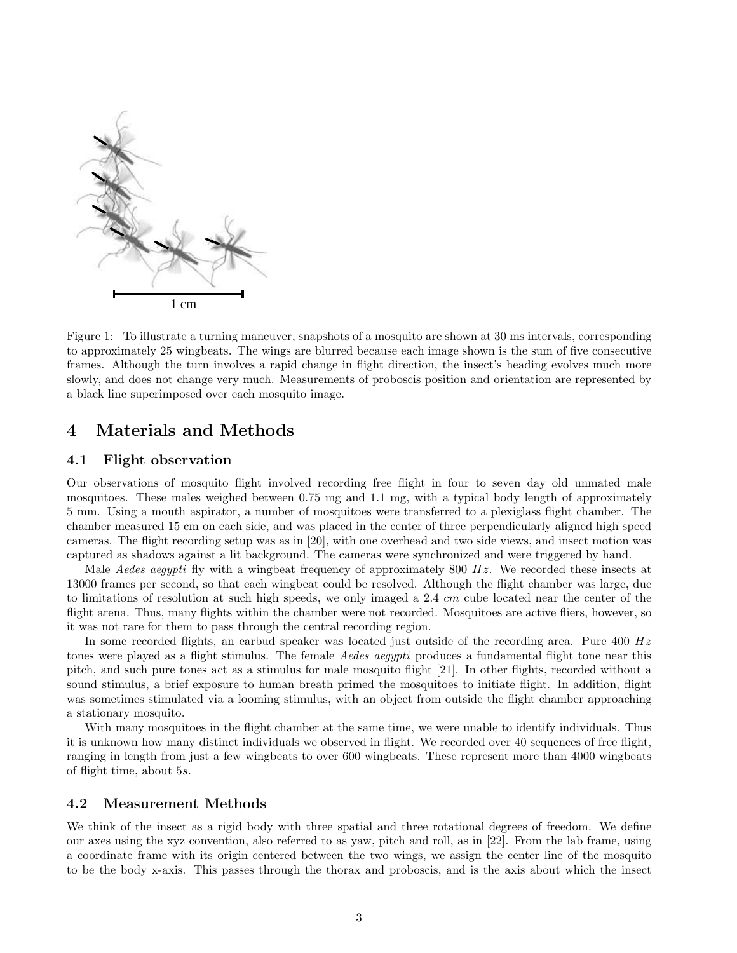

Figure 1: To illustrate a turning maneuver, snapshots of a mosquito are shown at 30 ms intervals, corresponding to approximately 25 wingbeats. The wings are blurred because each image shown is the sum of five consecutive frames. Although the turn involves a rapid change in flight direction, the insect's heading evolves much more slowly, and does not change very much. Measurements of proboscis position and orientation are represented by a black line superimposed over each mosquito image.

### 4 Materials and Methods

### 4.1 Flight observation

Our observations of mosquito flight involved recording free flight in four to seven day old unmated male mosquitoes. These males weighed between 0.75 mg and 1.1 mg, with a typical body length of approximately 5 mm. Using a mouth aspirator, a number of mosquitoes were transferred to a plexiglass flight chamber. The chamber measured 15 cm on each side, and was placed in the center of three perpendicularly aligned high speed cameras. The flight recording setup was as in [20], with one overhead and two side views, and insect motion was captured as shadows against a lit background. The cameras were synchronized and were triggered by hand.

Male Aedes aegypti fly with a wingbeat frequency of approximately 800  $Hz$ . We recorded these insects at 13000 frames per second, so that each wingbeat could be resolved. Although the flight chamber was large, due to limitations of resolution at such high speeds, we only imaged a 2.4 cm cube located near the center of the flight arena. Thus, many flights within the chamber were not recorded. Mosquitoes are active fliers, however, so it was not rare for them to pass through the central recording region.

In some recorded flights, an earbud speaker was located just outside of the recording area. Pure  $400 Hz$ tones were played as a flight stimulus. The female *Aedes aegypti* produces a fundamental flight tone near this pitch, and such pure tones act as a stimulus for male mosquito flight [21]. In other flights, recorded without a sound stimulus, a brief exposure to human breath primed the mosquitoes to initiate flight. In addition, flight was sometimes stimulated via a looming stimulus, with an object from outside the flight chamber approaching a stationary mosquito.

With many mosquitoes in the flight chamber at the same time, we were unable to identify individuals. Thus it is unknown how many distinct individuals we observed in flight. We recorded over 40 sequences of free flight, ranging in length from just a few wingbeats to over 600 wingbeats. These represent more than 4000 wingbeats of flight time, about 5s.

### 4.2 Measurement Methods

We think of the insect as a rigid body with three spatial and three rotational degrees of freedom. We define our axes using the xyz convention, also referred to as yaw, pitch and roll, as in [22]. From the lab frame, using a coordinate frame with its origin centered between the two wings, we assign the center line of the mosquito to be the body x-axis. This passes through the thorax and proboscis, and is the axis about which the insect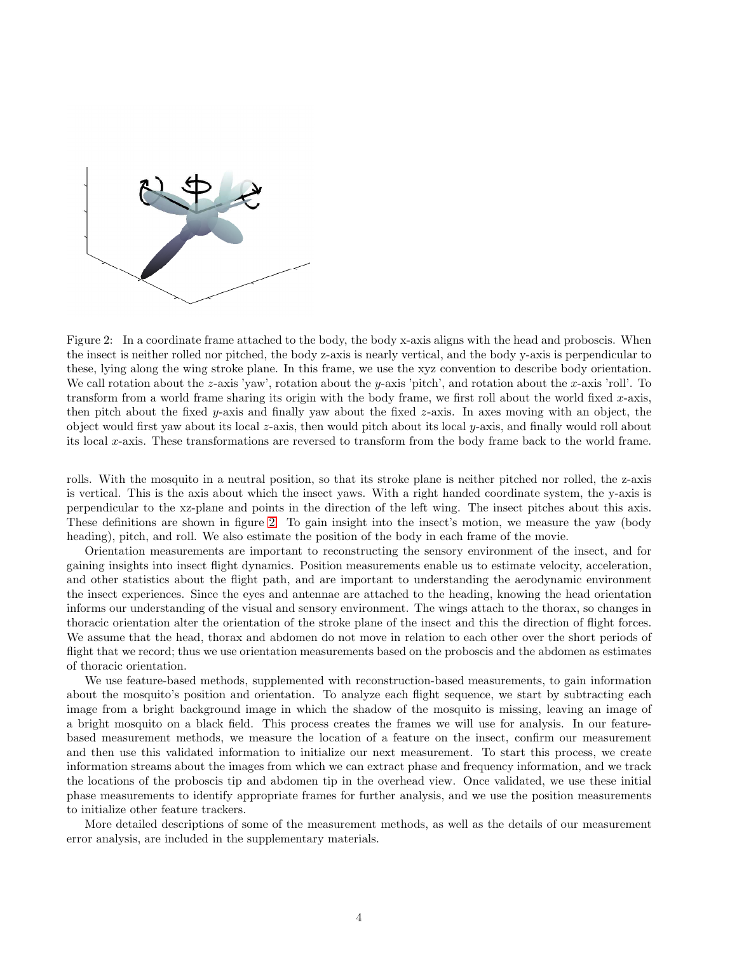

<span id="page-3-0"></span>Figure 2: In a coordinate frame attached to the body, the body x-axis aligns with the head and proboscis. When the insect is neither rolled nor pitched, the body z-axis is nearly vertical, and the body y-axis is perpendicular to these, lying along the wing stroke plane. In this frame, we use the xyz convention to describe body orientation. We call rotation about the z-axis 'yaw', rotation about the y-axis 'pitch', and rotation about the x-axis 'roll'. To transform from a world frame sharing its origin with the body frame, we first roll about the world fixed  $x$ -axis, then pitch about the fixed y-axis and finally yaw about the fixed z-axis. In axes moving with an object, the object would first yaw about its local z-axis, then would pitch about its local y-axis, and finally would roll about its local x-axis. These transformations are reversed to transform from the body frame back to the world frame.

rolls. With the mosquito in a neutral position, so that its stroke plane is neither pitched nor rolled, the z-axis is vertical. This is the axis about which the insect yaws. With a right handed coordinate system, the y-axis is perpendicular to the xz-plane and points in the direction of the left wing. The insect pitches about this axis. These definitions are shown in figure [2.](#page-3-0) To gain insight into the insect's motion, we measure the yaw (body heading), pitch, and roll. We also estimate the position of the body in each frame of the movie.

Orientation measurements are important to reconstructing the sensory environment of the insect, and for gaining insights into insect flight dynamics. Position measurements enable us to estimate velocity, acceleration, and other statistics about the flight path, and are important to understanding the aerodynamic environment the insect experiences. Since the eyes and antennae are attached to the heading, knowing the head orientation informs our understanding of the visual and sensory environment. The wings attach to the thorax, so changes in thoracic orientation alter the orientation of the stroke plane of the insect and this the direction of flight forces. We assume that the head, thorax and abdomen do not move in relation to each other over the short periods of flight that we record; thus we use orientation measurements based on the proboscis and the abdomen as estimates of thoracic orientation.

We use feature-based methods, supplemented with reconstruction-based measurements, to gain information about the mosquito's position and orientation. To analyze each flight sequence, we start by subtracting each image from a bright background image in which the shadow of the mosquito is missing, leaving an image of a bright mosquito on a black field. This process creates the frames we will use for analysis. In our featurebased measurement methods, we measure the location of a feature on the insect, confirm our measurement and then use this validated information to initialize our next measurement. To start this process, we create information streams about the images from which we can extract phase and frequency information, and we track the locations of the proboscis tip and abdomen tip in the overhead view. Once validated, we use these initial phase measurements to identify appropriate frames for further analysis, and we use the position measurements to initialize other feature trackers.

More detailed descriptions of some of the measurement methods, as well as the details of our measurement error analysis, are included in the supplementary materials.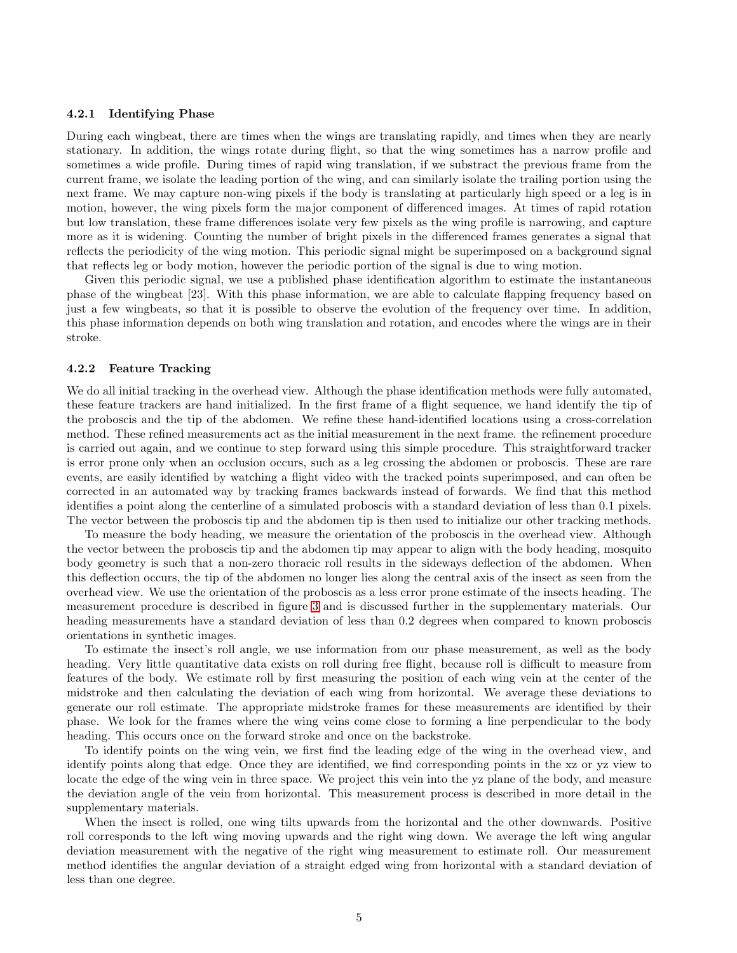#### 4.2.1 Identifying Phase

During each wingbeat, there are times when the wings are translating rapidly, and times when they are nearly stationary. In addition, the wings rotate during flight, so that the wing sometimes has a narrow profile and sometimes a wide profile. During times of rapid wing translation, if we substract the previous frame from the current frame, we isolate the leading portion of the wing, and can similarly isolate the trailing portion using the next frame. We may capture non-wing pixels if the body is translating at particularly high speed or a leg is in motion, however, the wing pixels form the major component of differenced images. At times of rapid rotation but low translation, these frame differences isolate very few pixels as the wing profile is narrowing, and capture more as it is widening. Counting the number of bright pixels in the differenced frames generates a signal that reflects the periodicity of the wing motion. This periodic signal might be superimposed on a background signal that reflects leg or body motion, however the periodic portion of the signal is due to wing motion.

Given this periodic signal, we use a published phase identification algorithm to estimate the instantaneous phase of the wingbeat [23]. With this phase information, we are able to calculate flapping frequency based on just a few wingbeats, so that it is possible to observe the evolution of the frequency over time. In addition, this phase information depends on both wing translation and rotation, and encodes where the wings are in their stroke.

#### 4.2.2 Feature Tracking

We do all initial tracking in the overhead view. Although the phase identification methods were fully automated, these feature trackers are hand initialized. In the first frame of a flight sequence, we hand identify the tip of the proboscis and the tip of the abdomen. We refine these hand-identified locations using a cross-correlation method. These refined measurements act as the initial measurement in the next frame. the refinement procedure is carried out again, and we continue to step forward using this simple procedure. This straightforward tracker is error prone only when an occlusion occurs, such as a leg crossing the abdomen or proboscis. These are rare events, are easily identified by watching a flight video with the tracked points superimposed, and can often be corrected in an automated way by tracking frames backwards instead of forwards. We find that this method identifies a point along the centerline of a simulated proboscis with a standard deviation of less than 0.1 pixels. The vector between the proboscis tip and the abdomen tip is then used to initialize our other tracking methods.

To measure the body heading, we measure the orientation of the proboscis in the overhead view. Although the vector between the proboscis tip and the abdomen tip may appear to align with the body heading, mosquito body geometry is such that a non-zero thoracic roll results in the sideways deflection of the abdomen. When this deflection occurs, the tip of the abdomen no longer lies along the central axis of the insect as seen from the overhead view. We use the orientation of the proboscis as a less error prone estimate of the insects heading. The measurement procedure is described in figure [3](#page-5-0) and is discussed further in the supplementary materials. Our heading measurements have a standard deviation of less than 0.2 degrees when compared to known proboscis orientations in synthetic images.

To estimate the insect's roll angle, we use information from our phase measurement, as well as the body heading. Very little quantitative data exists on roll during free flight, because roll is difficult to measure from features of the body. We estimate roll by first measuring the position of each wing vein at the center of the midstroke and then calculating the deviation of each wing from horizontal. We average these deviations to generate our roll estimate. The appropriate midstroke frames for these measurements are identified by their phase. We look for the frames where the wing veins come close to forming a line perpendicular to the body heading. This occurs once on the forward stroke and once on the backstroke.

To identify points on the wing vein, we first find the leading edge of the wing in the overhead view, and identify points along that edge. Once they are identified, we find corresponding points in the xz or yz view to locate the edge of the wing vein in three space. We project this vein into the yz plane of the body, and measure the deviation angle of the vein from horizontal. This measurement process is described in more detail in the supplementary materials.

When the insect is rolled, one wing tilts upwards from the horizontal and the other downwards. Positive roll corresponds to the left wing moving upwards and the right wing down. We average the left wing angular deviation measurement with the negative of the right wing measurement to estimate roll. Our measurement method identifies the angular deviation of a straight edged wing from horizontal with a standard deviation of less than one degree.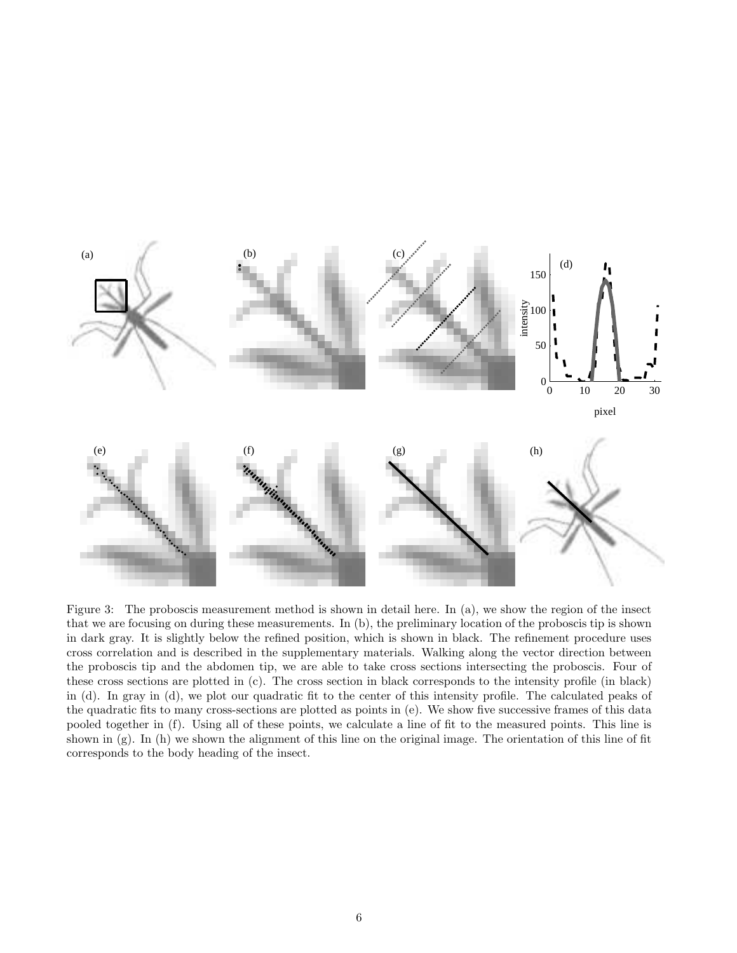

<span id="page-5-0"></span>Figure 3: The proboscis measurement method is shown in detail here. In (a), we show the region of the insect that we are focusing on during these measurements. In (b), the preliminary location of the proboscis tip is shown in dark gray. It is slightly below the refined position, which is shown in black. The refinement procedure uses cross correlation and is described in the supplementary materials. Walking along the vector direction between the proboscis tip and the abdomen tip, we are able to take cross sections intersecting the proboscis. Four of these cross sections are plotted in (c). The cross section in black corresponds to the intensity profile (in black) in (d). In gray in (d), we plot our quadratic fit to the center of this intensity profile. The calculated peaks of the quadratic fits to many cross-sections are plotted as points in (e). We show five successive frames of this data pooled together in (f). Using all of these points, we calculate a line of fit to the measured points. This line is shown in (g). In (h) we shown the alignment of this line on the original image. The orientation of this line of fit corresponds to the body heading of the insect.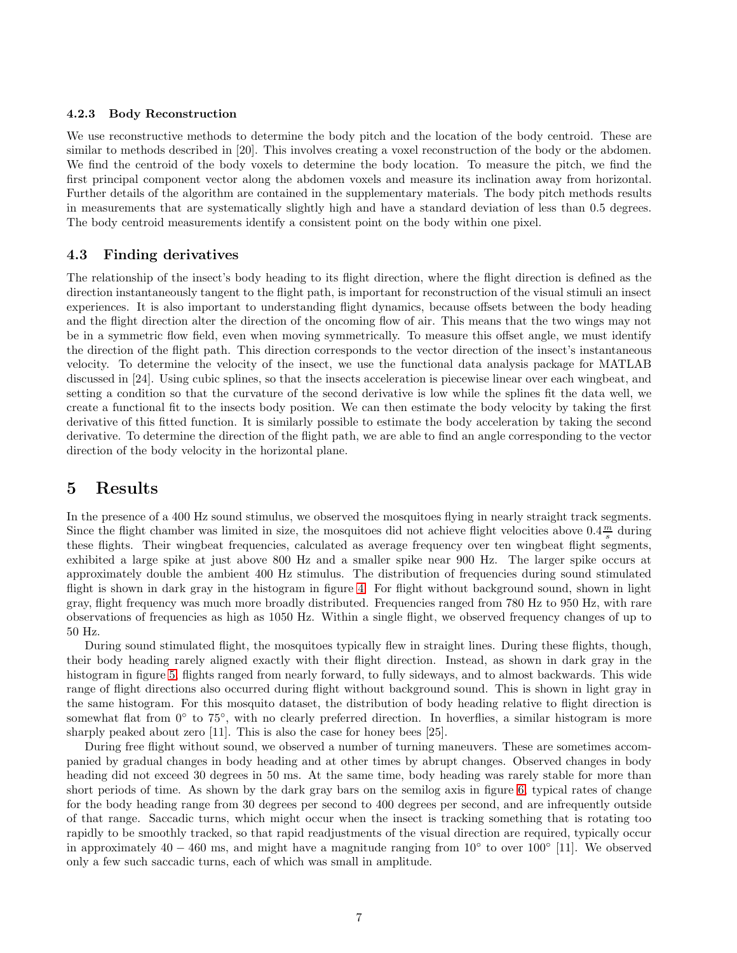#### 4.2.3 Body Reconstruction

We use reconstructive methods to determine the body pitch and the location of the body centroid. These are similar to methods described in [20]. This involves creating a voxel reconstruction of the body or the abdomen. We find the centroid of the body voxels to determine the body location. To measure the pitch, we find the first principal component vector along the abdomen voxels and measure its inclination away from horizontal. Further details of the algorithm are contained in the supplementary materials. The body pitch methods results in measurements that are systematically slightly high and have a standard deviation of less than 0.5 degrees. The body centroid measurements identify a consistent point on the body within one pixel.

### 4.3 Finding derivatives

The relationship of the insect's body heading to its flight direction, where the flight direction is defined as the direction instantaneously tangent to the flight path, is important for reconstruction of the visual stimuli an insect experiences. It is also important to understanding flight dynamics, because offsets between the body heading and the flight direction alter the direction of the oncoming flow of air. This means that the two wings may not be in a symmetric flow field, even when moving symmetrically. To measure this offset angle, we must identify the direction of the flight path. This direction corresponds to the vector direction of the insect's instantaneous velocity. To determine the velocity of the insect, we use the functional data analysis package for MATLAB discussed in [24]. Using cubic splines, so that the insects acceleration is piecewise linear over each wingbeat, and setting a condition so that the curvature of the second derivative is low while the splines fit the data well, we create a functional fit to the insects body position. We can then estimate the body velocity by taking the first derivative of this fitted function. It is similarly possible to estimate the body acceleration by taking the second derivative. To determine the direction of the flight path, we are able to find an angle corresponding to the vector direction of the body velocity in the horizontal plane.

### 5 Results

In the presence of a 400 Hz sound stimulus, we observed the mosquitoes flying in nearly straight track segments. Since the flight chamber was limited in size, the mosquitoes did not achieve flight velocities above  $0.4\frac{m}{s}$  during these flights. Their wingbeat frequencies, calculated as average frequency over ten wingbeat flight segments, exhibited a large spike at just above 800 Hz and a smaller spike near 900 Hz. The larger spike occurs at approximately double the ambient 400 Hz stimulus. The distribution of frequencies during sound stimulated flight is shown in dark gray in the histogram in figure [4.](#page-7-0) For flight without background sound, shown in light gray, flight frequency was much more broadly distributed. Frequencies ranged from 780 Hz to 950 Hz, with rare observations of frequencies as high as 1050 Hz. Within a single flight, we observed frequency changes of up to 50 Hz.

During sound stimulated flight, the mosquitoes typically flew in straight lines. During these flights, though, their body heading rarely aligned exactly with their flight direction. Instead, as shown in dark gray in the histogram in figure [5,](#page-8-0) flights ranged from nearly forward, to fully sideways, and to almost backwards. This wide range of flight directions also occurred during flight without background sound. This is shown in light gray in the same histogram. For this mosquito dataset, the distribution of body heading relative to flight direction is somewhat flat from 0° to 75°, with no clearly preferred direction. In hoverflies, a similar histogram is more sharply peaked about zero [11]. This is also the case for honey bees [25].

During free flight without sound, we observed a number of turning maneuvers. These are sometimes accompanied by gradual changes in body heading and at other times by abrupt changes. Observed changes in body heading did not exceed 30 degrees in 50 ms. At the same time, body heading was rarely stable for more than short periods of time. As shown by the dark gray bars on the semilog axis in figure [6,](#page-9-0) typical rates of change for the body heading range from 30 degrees per second to 400 degrees per second, and are infrequently outside of that range. Saccadic turns, which might occur when the insect is tracking something that is rotating too rapidly to be smoothly tracked, so that rapid readjustments of the visual direction are required, typically occur in approximately 40 – 460 ms, and might have a magnitude ranging from 10 $\degree$  to over 100 $\degree$  [11]. We observed only a few such saccadic turns, each of which was small in amplitude.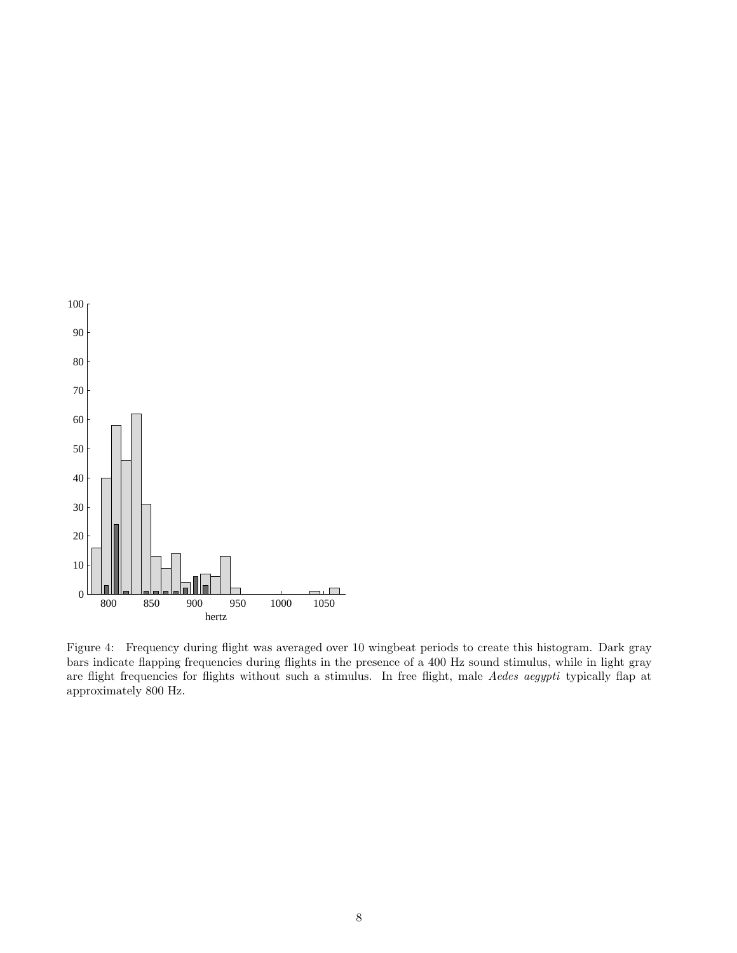

<span id="page-7-0"></span>Figure 4: Frequency during flight was averaged over 10 wingbeat periods to create this histogram. Dark gray bars indicate flapping frequencies during flights in the presence of a 400 Hz sound stimulus, while in light gray are flight frequencies for flights without such a stimulus. In free flight, male Aedes aegypti typically flap at approximately 800 Hz.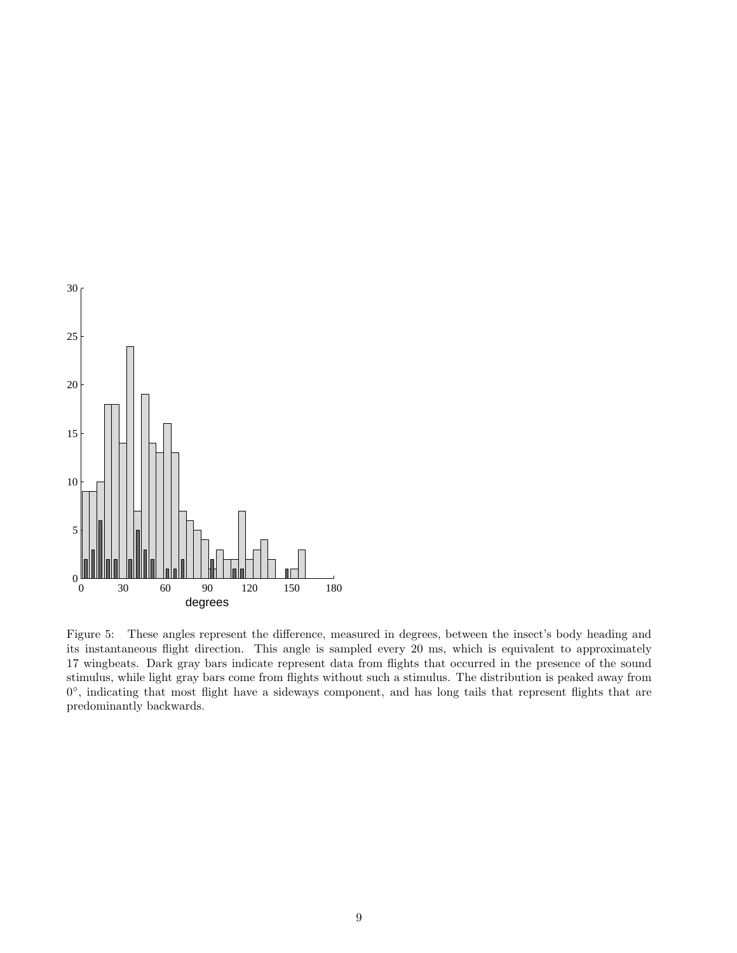

<span id="page-8-0"></span>Figure 5: These angles represent the difference, measured in degrees, between the insect's body heading and its instantaneous flight direction. This angle is sampled every 20 ms, which is equivalent to approximately 17 wingbeats. Dark gray bars indicate represent data from flights that occurred in the presence of the sound stimulus, while light gray bars come from flights without such a stimulus. The distribution is peaked away from 0°, indicating that most flight have a sideways component, and has long tails that represent flights that are predominantly backwards.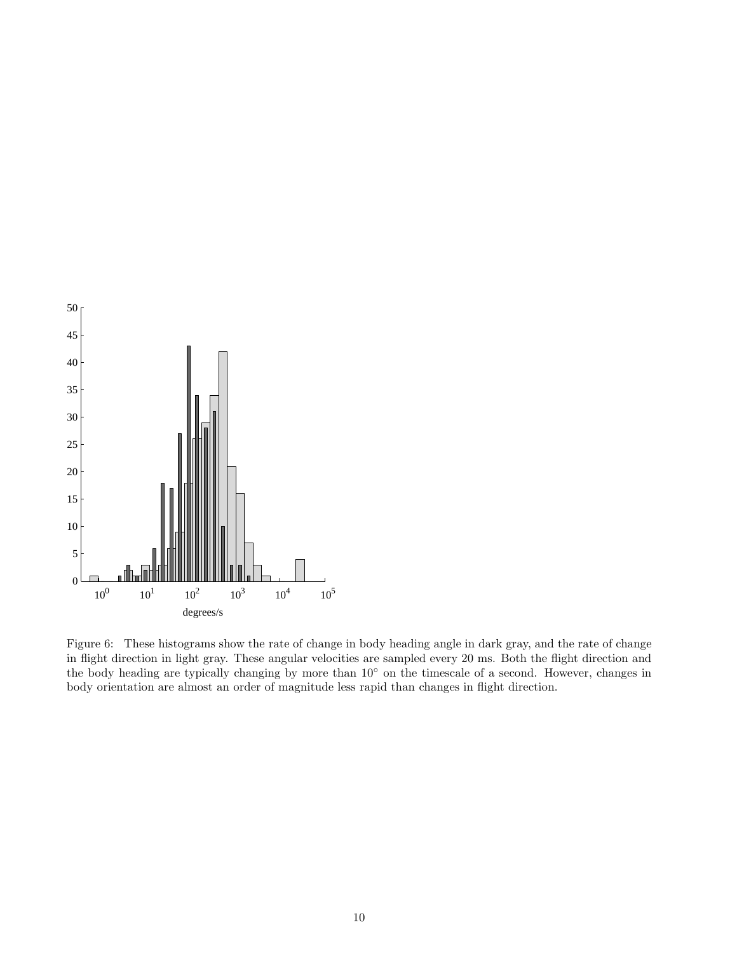

<span id="page-9-0"></span>Figure 6: These histograms show the rate of change in body heading angle in dark gray, and the rate of change in flight direction in light gray. These angular velocities are sampled every 20 ms. Both the flight direction and the body heading are typically changing by more than 10◦ on the timescale of a second. However, changes in body orientation are almost an order of magnitude less rapid than changes in flight direction.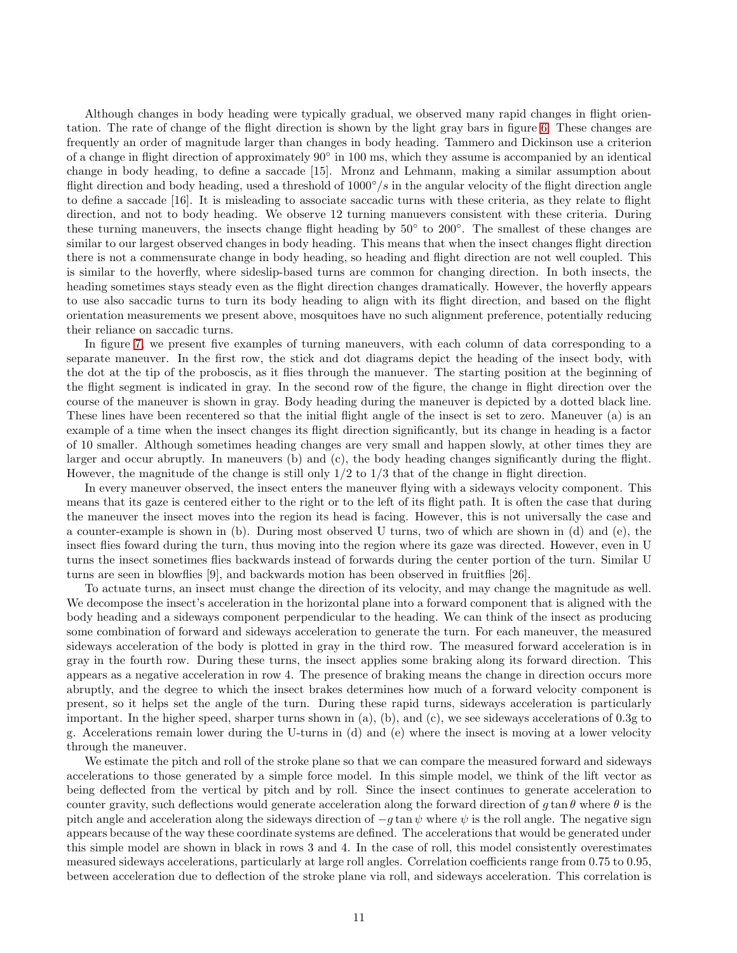Although changes in body heading were typically gradual, we observed many rapid changes in flight orientation. The rate of change of the flight direction is shown by the light gray bars in figure [6.](#page-9-0) These changes are frequently an order of magnitude larger than changes in body heading. Tammero and Dickinson use a criterion of a change in flight direction of approximately 90° in 100 ms, which they assume is accompanied by an identical change in body heading, to define a saccade [15]. Mronz and Lehmann, making a similar assumption about flight direction and body heading, used a threshold of  $1000°/s$  in the angular velocity of the flight direction angle to define a saccade [16]. It is misleading to associate saccadic turns with these criteria, as they relate to flight direction, and not to body heading. We observe 12 turning manuevers consistent with these criteria. During these turning maneuvers, the insects change flight heading by 50° to 200°. The smallest of these changes are similar to our largest observed changes in body heading. This means that when the insect changes flight direction there is not a commensurate change in body heading, so heading and flight direction are not well coupled. This is similar to the hoverfly, where sideslip-based turns are common for changing direction. In both insects, the heading sometimes stays steady even as the flight direction changes dramatically. However, the hoverfly appears to use also saccadic turns to turn its body heading to align with its flight direction, and based on the flight orientation measurements we present above, mosquitoes have no such alignment preference, potentially reducing their reliance on saccadic turns.

In figure [7,](#page-12-0) we present five examples of turning maneuvers, with each column of data corresponding to a separate maneuver. In the first row, the stick and dot diagrams depict the heading of the insect body, with the dot at the tip of the proboscis, as it flies through the manuever. The starting position at the beginning of the flight segment is indicated in gray. In the second row of the figure, the change in flight direction over the course of the maneuver is shown in gray. Body heading during the maneuver is depicted by a dotted black line. These lines have been recentered so that the initial flight angle of the insect is set to zero. Maneuver (a) is an example of a time when the insect changes its flight direction significantly, but its change in heading is a factor of 10 smaller. Although sometimes heading changes are very small and happen slowly, at other times they are larger and occur abruptly. In maneuvers (b) and (c), the body heading changes significantly during the flight. However, the magnitude of the change is still only 1/2 to 1/3 that of the change in flight direction.

In every maneuver observed, the insect enters the maneuver flying with a sideways velocity component. This means that its gaze is centered either to the right or to the left of its flight path. It is often the case that during the maneuver the insect moves into the region its head is facing. However, this is not universally the case and a counter-example is shown in (b). During most observed U turns, two of which are shown in (d) and (e), the insect flies foward during the turn, thus moving into the region where its gaze was directed. However, even in U turns the insect sometimes flies backwards instead of forwards during the center portion of the turn. Similar U turns are seen in blowflies [9], and backwards motion has been observed in fruitflies [26].

To actuate turns, an insect must change the direction of its velocity, and may change the magnitude as well. We decompose the insect's acceleration in the horizontal plane into a forward component that is aligned with the body heading and a sideways component perpendicular to the heading. We can think of the insect as producing some combination of forward and sideways acceleration to generate the turn. For each maneuver, the measured sideways acceleration of the body is plotted in gray in the third row. The measured forward acceleration is in gray in the fourth row. During these turns, the insect applies some braking along its forward direction. This appears as a negative acceleration in row 4. The presence of braking means the change in direction occurs more abruptly, and the degree to which the insect brakes determines how much of a forward velocity component is present, so it helps set the angle of the turn. During these rapid turns, sideways acceleration is particularly important. In the higher speed, sharper turns shown in  $(a)$ ,  $(b)$ , and  $(c)$ , we see sideways accelerations of 0.3g to g. Accelerations remain lower during the U-turns in (d) and (e) where the insect is moving at a lower velocity through the maneuver.

We estimate the pitch and roll of the stroke plane so that we can compare the measured forward and sideways accelerations to those generated by a simple force model. In this simple model, we think of the lift vector as being deflected from the vertical by pitch and by roll. Since the insect continues to generate acceleration to counter gravity, such deflections would generate acceleration along the forward direction of g tan  $\theta$  where  $\theta$  is the pitch angle and acceleration along the sideways direction of  $-g \tan \psi$  where  $\psi$  is the roll angle. The negative sign appears because of the way these coordinate systems are defined. The accelerations that would be generated under this simple model are shown in black in rows 3 and 4. In the case of roll, this model consistently overestimates measured sideways accelerations, particularly at large roll angles. Correlation coefficients range from 0.75 to 0.95, between acceleration due to deflection of the stroke plane via roll, and sideways acceleration. This correlation is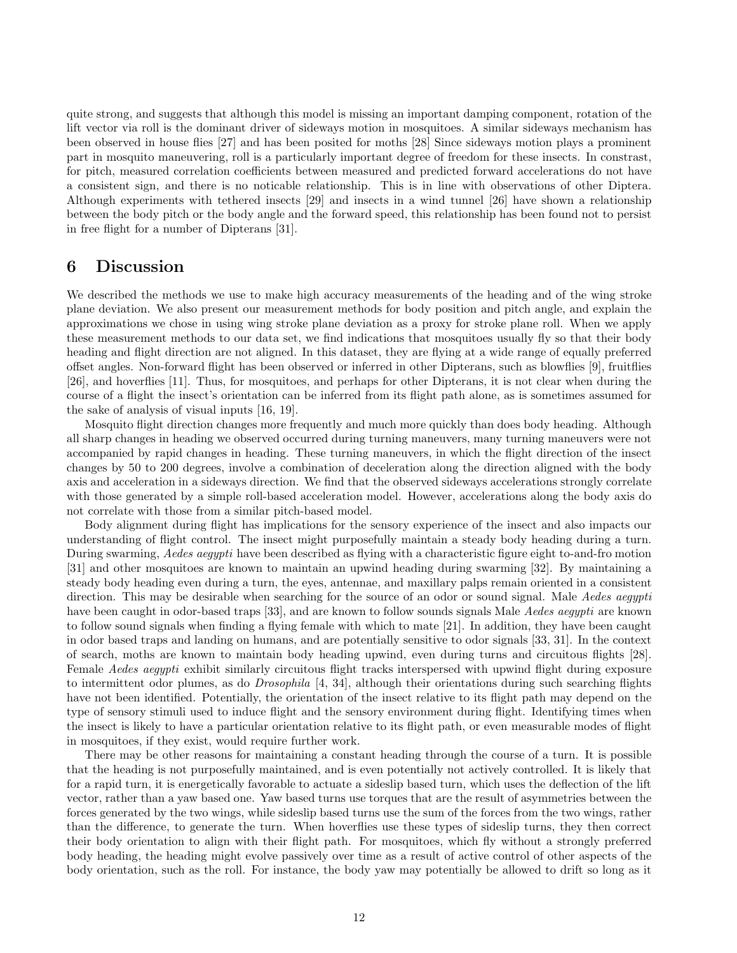quite strong, and suggests that although this model is missing an important damping component, rotation of the lift vector via roll is the dominant driver of sideways motion in mosquitoes. A similar sideways mechanism has been observed in house flies [27] and has been posited for moths [28] Since sideways motion plays a prominent part in mosquito maneuvering, roll is a particularly important degree of freedom for these insects. In constrast, for pitch, measured correlation coefficients between measured and predicted forward accelerations do not have a consistent sign, and there is no noticable relationship. This is in line with observations of other Diptera. Although experiments with tethered insects [29] and insects in a wind tunnel [26] have shown a relationship between the body pitch or the body angle and the forward speed, this relationship has been found not to persist in free flight for a number of Dipterans [31].

### 6 Discussion

We described the methods we use to make high accuracy measurements of the heading and of the wing stroke plane deviation. We also present our measurement methods for body position and pitch angle, and explain the approximations we chose in using wing stroke plane deviation as a proxy for stroke plane roll. When we apply these measurement methods to our data set, we find indications that mosquitoes usually fly so that their body heading and flight direction are not aligned. In this dataset, they are flying at a wide range of equally preferred offset angles. Non-forward flight has been observed or inferred in other Dipterans, such as blowflies [9], fruitflies [26], and hoverflies [11]. Thus, for mosquitoes, and perhaps for other Dipterans, it is not clear when during the course of a flight the insect's orientation can be inferred from its flight path alone, as is sometimes assumed for the sake of analysis of visual inputs [16, 19].

Mosquito flight direction changes more frequently and much more quickly than does body heading. Although all sharp changes in heading we observed occurred during turning maneuvers, many turning maneuvers were not accompanied by rapid changes in heading. These turning maneuvers, in which the flight direction of the insect changes by 50 to 200 degrees, involve a combination of deceleration along the direction aligned with the body axis and acceleration in a sideways direction. We find that the observed sideways accelerations strongly correlate with those generated by a simple roll-based acceleration model. However, accelerations along the body axis do not correlate with those from a similar pitch-based model.

Body alignment during flight has implications for the sensory experience of the insect and also impacts our understanding of flight control. The insect might purposefully maintain a steady body heading during a turn. During swarming, Aedes aegypti have been described as flying with a characteristic figure eight to-and-fro motion [31] and other mosquitoes are known to maintain an upwind heading during swarming [32]. By maintaining a steady body heading even during a turn, the eyes, antennae, and maxillary palps remain oriented in a consistent direction. This may be desirable when searching for the source of an odor or sound signal. Male Aedes aegypti have been caught in odor-based traps [33], and are known to follow sounds signals Male Aedes aequpti are known to follow sound signals when finding a flying female with which to mate [21]. In addition, they have been caught in odor based traps and landing on humans, and are potentially sensitive to odor signals [33, 31]. In the context of search, moths are known to maintain body heading upwind, even during turns and circuitous flights [28]. Female Aedes aegypti exhibit similarly circuitous flight tracks interspersed with upwind flight during exposure to intermittent odor plumes, as do *Drosophila* [4, 34], although their orientations during such searching flights have not been identified. Potentially, the orientation of the insect relative to its flight path may depend on the type of sensory stimuli used to induce flight and the sensory environment during flight. Identifying times when the insect is likely to have a particular orientation relative to its flight path, or even measurable modes of flight in mosquitoes, if they exist, would require further work.

There may be other reasons for maintaining a constant heading through the course of a turn. It is possible that the heading is not purposefully maintained, and is even potentially not actively controlled. It is likely that for a rapid turn, it is energetically favorable to actuate a sideslip based turn, which uses the deflection of the lift vector, rather than a yaw based one. Yaw based turns use torques that are the result of asymmetries between the forces generated by the two wings, while sideslip based turns use the sum of the forces from the two wings, rather than the difference, to generate the turn. When hoverflies use these types of sideslip turns, they then correct their body orientation to align with their flight path. For mosquitoes, which fly without a strongly preferred body heading, the heading might evolve passively over time as a result of active control of other aspects of the body orientation, such as the roll. For instance, the body yaw may potentially be allowed to drift so long as it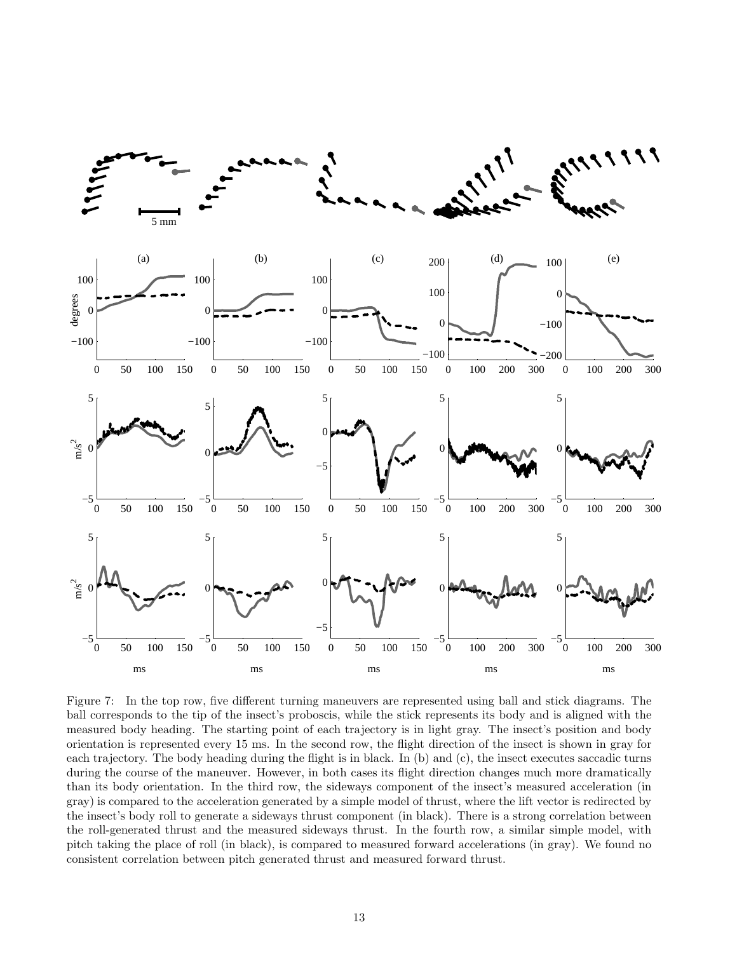

<span id="page-12-0"></span>Figure 7: In the top row, five different turning maneuvers are represented using ball and stick diagrams. The ball corresponds to the tip of the insect's proboscis, while the stick represents its body and is aligned with the measured body heading. The starting point of each trajectory is in light gray. The insect's position and body orientation is represented every 15 ms. In the second row, the flight direction of the insect is shown in gray for each trajectory. The body heading during the flight is in black. In (b) and (c), the insect executes saccadic turns during the course of the maneuver. However, in both cases its flight direction changes much more dramatically than its body orientation. In the third row, the sideways component of the insect's measured acceleration (in gray) is compared to the acceleration generated by a simple model of thrust, where the lift vector is redirected by the insect's body roll to generate a sideways thrust component (in black). There is a strong correlation between the roll-generated thrust and the measured sideways thrust. In the fourth row, a similar simple model, with pitch taking the place of roll (in black), is compared to measured forward accelerations (in gray). We found no consistent correlation between pitch generated thrust and measured forward thrust.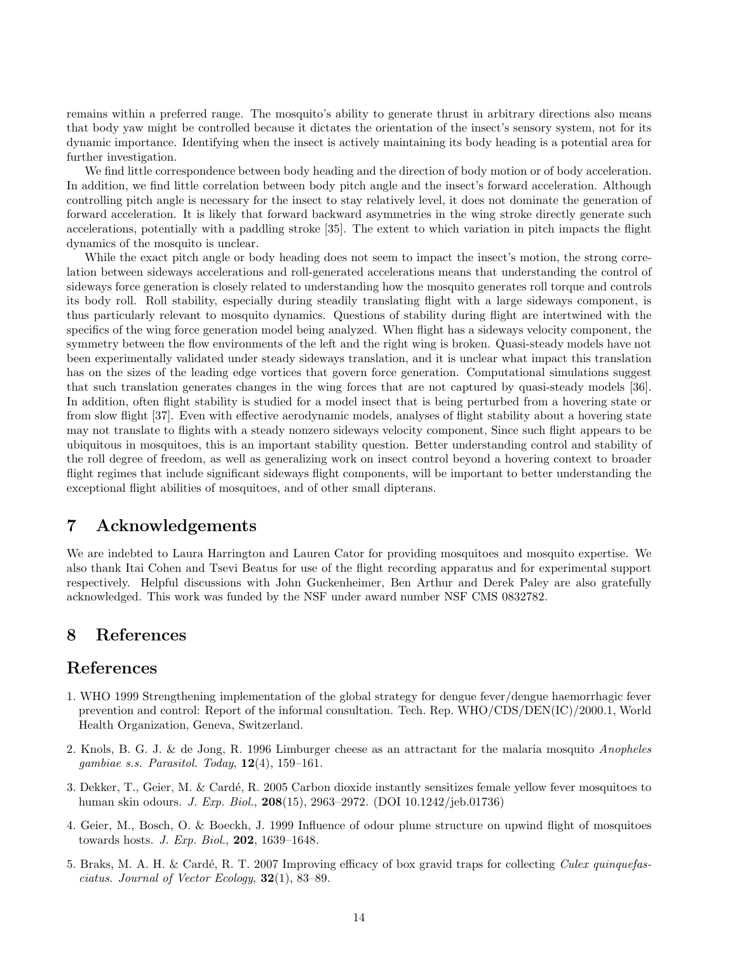remains within a preferred range. The mosquito's ability to generate thrust in arbitrary directions also means that body yaw might be controlled because it dictates the orientation of the insect's sensory system, not for its dynamic importance. Identifying when the insect is actively maintaining its body heading is a potential area for further investigation.

We find little correspondence between body heading and the direction of body motion or of body acceleration. In addition, we find little correlation between body pitch angle and the insect's forward acceleration. Although controlling pitch angle is necessary for the insect to stay relatively level, it does not dominate the generation of forward acceleration. It is likely that forward backward asymmetries in the wing stroke directly generate such accelerations, potentially with a paddling stroke [35]. The extent to which variation in pitch impacts the flight dynamics of the mosquito is unclear.

While the exact pitch angle or body heading does not seem to impact the insect's motion, the strong correlation between sideways accelerations and roll-generated accelerations means that understanding the control of sideways force generation is closely related to understanding how the mosquito generates roll torque and controls its body roll. Roll stability, especially during steadily translating flight with a large sideways component, is thus particularly relevant to mosquito dynamics. Questions of stability during flight are intertwined with the specifics of the wing force generation model being analyzed. When flight has a sideways velocity component, the symmetry between the flow environments of the left and the right wing is broken. Quasi-steady models have not been experimentally validated under steady sideways translation, and it is unclear what impact this translation has on the sizes of the leading edge vortices that govern force generation. Computational simulations suggest that such translation generates changes in the wing forces that are not captured by quasi-steady models [36]. In addition, often flight stability is studied for a model insect that is being perturbed from a hovering state or from slow flight [37]. Even with effective aerodynamic models, analyses of flight stability about a hovering state may not translate to flights with a steady nonzero sideways velocity component, Since such flight appears to be ubiquitous in mosquitoes, this is an important stability question. Better understanding control and stability of the roll degree of freedom, as well as generalizing work on insect control beyond a hovering context to broader flight regimes that include significant sideways flight components, will be important to better understanding the exceptional flight abilities of mosquitoes, and of other small dipterans.

### 7 Acknowledgements

We are indebted to Laura Harrington and Lauren Cator for providing mosquitoes and mosquito expertise. We also thank Itai Cohen and Tsevi Beatus for use of the flight recording apparatus and for experimental support respectively. Helpful discussions with John Guckenheimer, Ben Arthur and Derek Paley are also gratefully acknowledged. This work was funded by the NSF under award number NSF CMS 0832782.

### 8 References

### References

- 1. WHO 1999 Strengthening implementation of the global strategy for dengue fever/dengue haemorrhagic fever prevention and control: Report of the informal consultation. Tech. Rep. WHO/CDS/DEN(IC)/2000.1, World Health Organization, Geneva, Switzerland.
- 2. Knols, B. G. J. & de Jong, R. 1996 Limburger cheese as an attractant for the malaria mosquito Anopheles gambiae s.s. Parasitol. Today,  $12(4)$ ,  $159-161$ .
- 3. Dekker, T., Geier, M. & Cardé, R. 2005 Carbon dioxide instantly sensitizes female yellow fever mosquitoes to human skin odours. J. Exp. Biol., 208(15), 2963–2972. (DOI 10.1242/jeb.01736)
- 4. Geier, M., Bosch, O. & Boeckh, J. 1999 Influence of odour plume structure on upwind flight of mosquitoes towards hosts. J. Exp. Biol., 202, 1639–1648.
- 5. Braks, M. A. H. & Cardé, R. T. 2007 Improving efficacy of box gravid traps for collecting *Culex quinquefas*ciatus. Journal of Vector Ecology,  $32(1)$ , 83–89.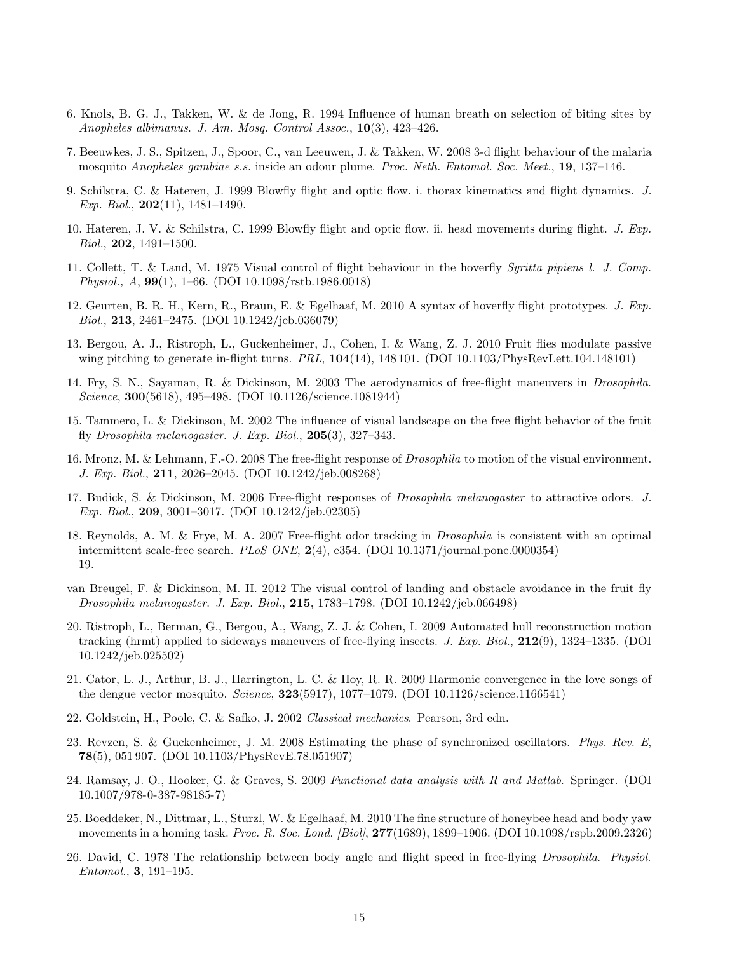- 6. Knols, B. G. J., Takken, W. & de Jong, R. 1994 Influence of human breath on selection of biting sites by Anopheles albimanus. J. Am. Mosq. Control Assoc., 10(3), 423–426.
- 7. Beeuwkes, J. S., Spitzen, J., Spoor, C., van Leeuwen, J. & Takken, W. 2008 3-d flight behaviour of the malaria mosquito Anopheles gambiae s.s. inside an odour plume. Proc. Neth. Entomol. Soc. Meet., 19, 137–146.
- 9. Schilstra, C. & Hateren, J. 1999 Blowfly flight and optic flow. i. thorax kinematics and flight dynamics. J. Exp. Biol.,  $202(11)$ ,  $1481-1490$ .
- 10. Hateren, J. V. & Schilstra, C. 1999 Blowfly flight and optic flow. ii. head movements during flight. J. Exp. Biol., 202, 1491–1500.
- 11. Collett, T. & Land, M. 1975 Visual control of flight behaviour in the hoverfly Syritta pipiens l. J. Comp. Physiol., A, 99(1), 1–66. (DOI 10.1098/rstb.1986.0018)
- 12. Geurten, B. R. H., Kern, R., Braun, E. & Egelhaaf, M. 2010 A syntax of hoverfly flight prototypes. J. Exp. Biol., 213, 2461–2475. (DOI 10.1242/jeb.036079)
- 13. Bergou, A. J., Ristroph, L., Guckenheimer, J., Cohen, I. & Wang, Z. J. 2010 Fruit flies modulate passive wing pitching to generate in-flight turns.  $PRL$ ,  $104(14)$ ,  $148101$ . (DOI 10.1103/PhysRevLett.104.148101)
- 14. Fry, S. N., Sayaman, R. & Dickinson, M. 2003 The aerodynamics of free-flight maneuvers in Drosophila. Science, 300(5618), 495–498. (DOI 10.1126/science.1081944)
- 15. Tammero, L. & Dickinson, M. 2002 The influence of visual landscape on the free flight behavior of the fruit fly Drosophila melanogaster. J. Exp. Biol.,  $205(3)$ ,  $327-343$ .
- 16. Mronz, M. & Lehmann, F.-O. 2008 The free-flight response of Drosophila to motion of the visual environment. J. Exp. Biol., 211, 2026–2045. (DOI 10.1242/jeb.008268)
- 17. Budick, S. & Dickinson, M. 2006 Free-flight responses of Drosophila melanogaster to attractive odors. J. Exp. Biol., 209, 3001–3017. (DOI 10.1242/jeb.02305)
- 18. Reynolds, A. M. & Frye, M. A. 2007 Free-flight odor tracking in Drosophila is consistent with an optimal intermittent scale-free search. PLoS ONE, 2(4), e354. (DOI 10.1371/journal.pone.0000354) 19.
- van Breugel, F. & Dickinson, M. H. 2012 The visual control of landing and obstacle avoidance in the fruit fly Drosophila melanogaster. J. Exp. Biol., 215, 1783–1798. (DOI 10.1242/jeb.066498)
- 20. Ristroph, L., Berman, G., Bergou, A., Wang, Z. J. & Cohen, I. 2009 Automated hull reconstruction motion tracking (hrmt) applied to sideways maneuvers of free-flying insects. J. Exp. Biol., 212(9), 1324–1335. (DOI 10.1242/jeb.025502)
- 21. Cator, L. J., Arthur, B. J., Harrington, L. C. & Hoy, R. R. 2009 Harmonic convergence in the love songs of the dengue vector mosquito. Science,  $323(5917)$ ,  $1077-1079$ . (DOI 10.1126/science.1166541)
- 22. Goldstein, H., Poole, C. & Safko, J. 2002 Classical mechanics. Pearson, 3rd edn.
- 23. Revzen, S. & Guckenheimer, J. M. 2008 Estimating the phase of synchronized oscillators. Phys. Rev. E, 78(5), 051 907. (DOI 10.1103/PhysRevE.78.051907)
- 24. Ramsay, J. O., Hooker, G. & Graves, S. 2009 Functional data analysis with R and Matlab. Springer. (DOI 10.1007/978-0-387-98185-7)
- 25. Boeddeker, N., Dittmar, L., Sturzl, W. & Egelhaaf, M. 2010 The fine structure of honeybee head and body yaw movements in a homing task. *Proc. R. Soc. Lond.* [Biol], 277(1689), 1899–1906. (DOI 10.1098/rspb.2009.2326)
- 26. David, C. 1978 The relationship between body angle and flight speed in free-flying Drosophila. Physiol. Entomol., 3, 191–195.